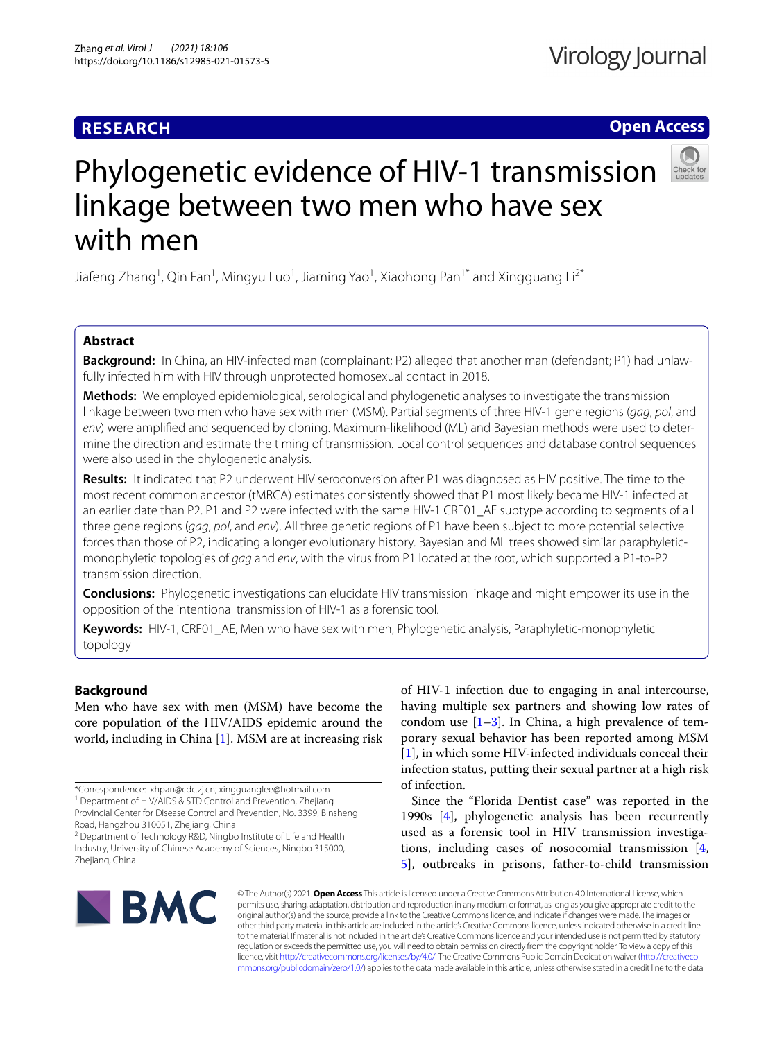# **RESEARCH**

## **Open Access**



# Phylogenetic evidence of HIV-1 transmission linkage between two men who have sex with men

Jiafeng Zhang<sup>1</sup>, Qin Fan<sup>1</sup>, Mingyu Luo<sup>1</sup>, Jiaming Yao<sup>1</sup>, Xiaohong Pan<sup>1\*</sup> and Xingguang Li<sup>2\*</sup>

## **Abstract**

**Background:** In China, an HIV-infected man (complainant; P2) alleged that another man (defendant; P1) had unlawfully infected him with HIV through unprotected homosexual contact in 2018.

**Methods:** We employed epidemiological, serological and phylogenetic analyses to investigate the transmission linkage between two men who have sex with men (MSM). Partial segments of three HIV-1 gene regions (*gag*, *pol*, and *env*) were amplifed and sequenced by cloning. Maximum-likelihood (ML) and Bayesian methods were used to determine the direction and estimate the timing of transmission. Local control sequences and database control sequences were also used in the phylogenetic analysis.

**Results:** It indicated that P2 underwent HIV seroconversion after P1 was diagnosed as HIV positive. The time to the most recent common ancestor (tMRCA) estimates consistently showed that P1 most likely became HIV-1 infected at an earlier date than P2. P1 and P2 were infected with the same HIV-1 CRF01\_AE subtype according to segments of all three gene regions (*gag*, *pol*, and *env*). All three genetic regions of P1 have been subject to more potential selective forces than those of P2, indicating a longer evolutionary history. Bayesian and ML trees showed similar paraphyleticmonophyletic topologies of *gag* and *env*, with the virus from P1 located at the root, which supported a P1-to-P2 transmission direction.

**Conclusions:** Phylogenetic investigations can elucidate HIV transmission linkage and might empower its use in the opposition of the intentional transmission of HIV-1 as a forensic tool.

**Keywords:** HIV-1, CRF01\_AE, Men who have sex with men, Phylogenetic analysis, Paraphyletic-monophyletic topology

## **Background**

Men who have sex with men (MSM) have become the core population of the HIV/AIDS epidemic around the world, including in China [[1\]](#page-6-0). MSM are at increasing risk

Road, Hangzhou 310051, Zhejiang, China <sup>2</sup> Department of Technology R&D, Ningbo Institute of Life and Health

Industry, University of Chinese Academy of Sciences, Ningbo 315000, Zhejiang, China

of HIV-1 infection due to engaging in anal intercourse, having multiple sex partners and showing low rates of condom use  $[1-3]$  $[1-3]$ . In China, a high prevalence of temporary sexual behavior has been reported among MSM [[1\]](#page-6-0), in which some HIV-infected individuals conceal their infection status, putting their sexual partner at a high risk of infection.

Since the "Florida Dentist case" was reported in the 1990s [\[4\]](#page-6-2), phylogenetic analysis has been recurrently used as a forensic tool in HIV transmission investigations, including cases of nosocomial transmission [\[4](#page-6-2), [5\]](#page-6-3), outbreaks in prisons, father-to-child transmission



© The Author(s) 2021. **Open Access** This article is licensed under a Creative Commons Attribution 4.0 International License, which permits use, sharing, adaptation, distribution and reproduction in any medium or format, as long as you give appropriate credit to the original author(s) and the source, provide a link to the Creative Commons licence, and indicate if changes were made. The images or other third party material in this article are included in the article's Creative Commons licence, unless indicated otherwise in a credit line to the material. If material is not included in the article's Creative Commons licence and your intended use is not permitted by statutory regulation or exceeds the permitted use, you will need to obtain permission directly from the copyright holder. To view a copy of this licence, visit [http://creativecommons.org/licenses/by/4.0/.](http://creativecommons.org/licenses/by/4.0/) The Creative Commons Public Domain Dedication waiver ([http://creativeco](http://creativecommons.org/publicdomain/zero/1.0/) [mmons.org/publicdomain/zero/1.0/](http://creativecommons.org/publicdomain/zero/1.0/)) applies to the data made available in this article, unless otherwise stated in a credit line to the data.

<sup>\*</sup>Correspondence: xhpan@cdc.zj.cn; xingguanglee@hotmail.com <sup>1</sup> Department of HIV/AIDS & STD Control and Prevention, Zhejiang Provincial Center for Disease Control and Prevention, No. 3399, Binsheng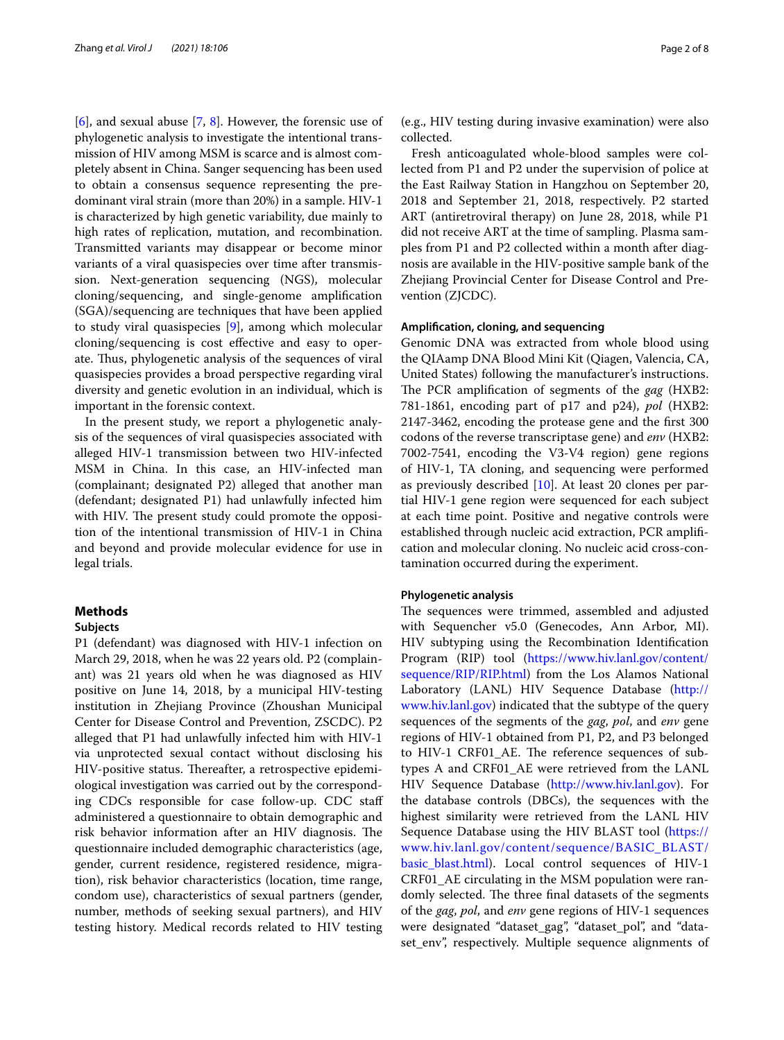[[6\]](#page-6-4), and sexual abuse [\[7](#page-6-5), [8](#page-6-6)]. However, the forensic use of phylogenetic analysis to investigate the intentional transmission of HIV among MSM is scarce and is almost completely absent in China. Sanger sequencing has been used to obtain a consensus sequence representing the predominant viral strain (more than 20%) in a sample. HIV-1 is characterized by high genetic variability, due mainly to high rates of replication, mutation, and recombination. Transmitted variants may disappear or become minor variants of a viral quasispecies over time after transmission. Next-generation sequencing (NGS), molecular cloning/sequencing, and single-genome amplifcation (SGA)/sequencing are techniques that have been applied to study viral quasispecies [[9\]](#page-6-7), among which molecular cloning/sequencing is cost efective and easy to operate. Thus, phylogenetic analysis of the sequences of viral quasispecies provides a broad perspective regarding viral diversity and genetic evolution in an individual, which is important in the forensic context.

In the present study, we report a phylogenetic analysis of the sequences of viral quasispecies associated with alleged HIV-1 transmission between two HIV-infected MSM in China. In this case, an HIV-infected man (complainant; designated P2) alleged that another man (defendant; designated P1) had unlawfully infected him with HIV. The present study could promote the opposition of the intentional transmission of HIV-1 in China and beyond and provide molecular evidence for use in legal trials.

## **Methods**

## **Subjects**

P1 (defendant) was diagnosed with HIV-1 infection on March 29, 2018, when he was 22 years old. P2 (complainant) was 21 years old when he was diagnosed as HIV positive on June 14, 2018, by a municipal HIV-testing institution in Zhejiang Province (Zhoushan Municipal Center for Disease Control and Prevention, ZSCDC). P2 alleged that P1 had unlawfully infected him with HIV-1 via unprotected sexual contact without disclosing his HIV-positive status. Thereafter, a retrospective epidemiological investigation was carried out by the corresponding CDCs responsible for case follow-up. CDC staf administered a questionnaire to obtain demographic and risk behavior information after an HIV diagnosis. The questionnaire included demographic characteristics (age, gender, current residence, registered residence, migration), risk behavior characteristics (location, time range, condom use), characteristics of sexual partners (gender, number, methods of seeking sexual partners), and HIV testing history. Medical records related to HIV testing

(e.g., HIV testing during invasive examination) were also collected.

Fresh anticoagulated whole-blood samples were collected from P1 and P2 under the supervision of police at the East Railway Station in Hangzhou on September 20, 2018 and September 21, 2018, respectively. P2 started ART (antiretroviral therapy) on June 28, 2018, while P1 did not receive ART at the time of sampling. Plasma samples from P1 and P2 collected within a month after diagnosis are available in the HIV-positive sample bank of the Zhejiang Provincial Center for Disease Control and Prevention (ZJCDC).

## **Amplifcation, cloning, and sequencing**

Genomic DNA was extracted from whole blood using the QIAamp DNA Blood Mini Kit (Qiagen, Valencia, CA, United States) following the manufacturer's instructions. The PCR amplification of segments of the *gag* (HXB2: 781-1861, encoding part of p17 and p24), *pol* (HXB2: 2147-3462, encoding the protease gene and the frst 300 codons of the reverse transcriptase gene) and *env* (HXB2: 7002-7541, encoding the V3-V4 region) gene regions of HIV-1, TA cloning, and sequencing were performed as previously described [\[10](#page-7-0)]. At least 20 clones per partial HIV-1 gene region were sequenced for each subject at each time point. Positive and negative controls were established through nucleic acid extraction, PCR amplifcation and molecular cloning. No nucleic acid cross-contamination occurred during the experiment.

## **Phylogenetic analysis**

The sequences were trimmed, assembled and adjusted with Sequencher v5.0 (Genecodes, Ann Arbor, MI). HIV subtyping using the Recombination Identifcation Program (RIP) tool ([https://www.hiv.lanl.gov/content/](https://www.hiv.lanl.gov/content/sequence/RIP/RIP.html) [sequence/RIP/RIP.html](https://www.hiv.lanl.gov/content/sequence/RIP/RIP.html)) from the Los Alamos National Laboratory (LANL) HIV Sequence Database [\(http://](http://www.hiv.lanl.gov) [www.hiv.lanl.gov\)](http://www.hiv.lanl.gov) indicated that the subtype of the query sequences of the segments of the *gag*, *pol*, and *env* gene regions of HIV-1 obtained from P1, P2, and P3 belonged to HIV-1 CRF01\_AE. The reference sequences of subtypes A and CRF01\_AE were retrieved from the LANL HIV Sequence Database ([http://www.hiv.lanl.gov\)](http://www.hiv.lanl.gov). For the database controls (DBCs), the sequences with the highest similarity were retrieved from the LANL HIV Sequence Database using the HIV BLAST tool [\(https://](https://www.hiv.lanl.gov/content/sequence/BASIC_BLAST/basic_blast.html) [www.hiv.lanl.gov/content/sequence/BASIC\\_BLAST/](https://www.hiv.lanl.gov/content/sequence/BASIC_BLAST/basic_blast.html) [basic\\_blast.html](https://www.hiv.lanl.gov/content/sequence/BASIC_BLAST/basic_blast.html)). Local control sequences of HIV-1 CRF01\_AE circulating in the MSM population were randomly selected. The three final datasets of the segments of the *gag*, *pol*, and *env* gene regions of HIV-1 sequences were designated "dataset\_gag", "dataset\_pol", and "dataset\_env", respectively. Multiple sequence alignments of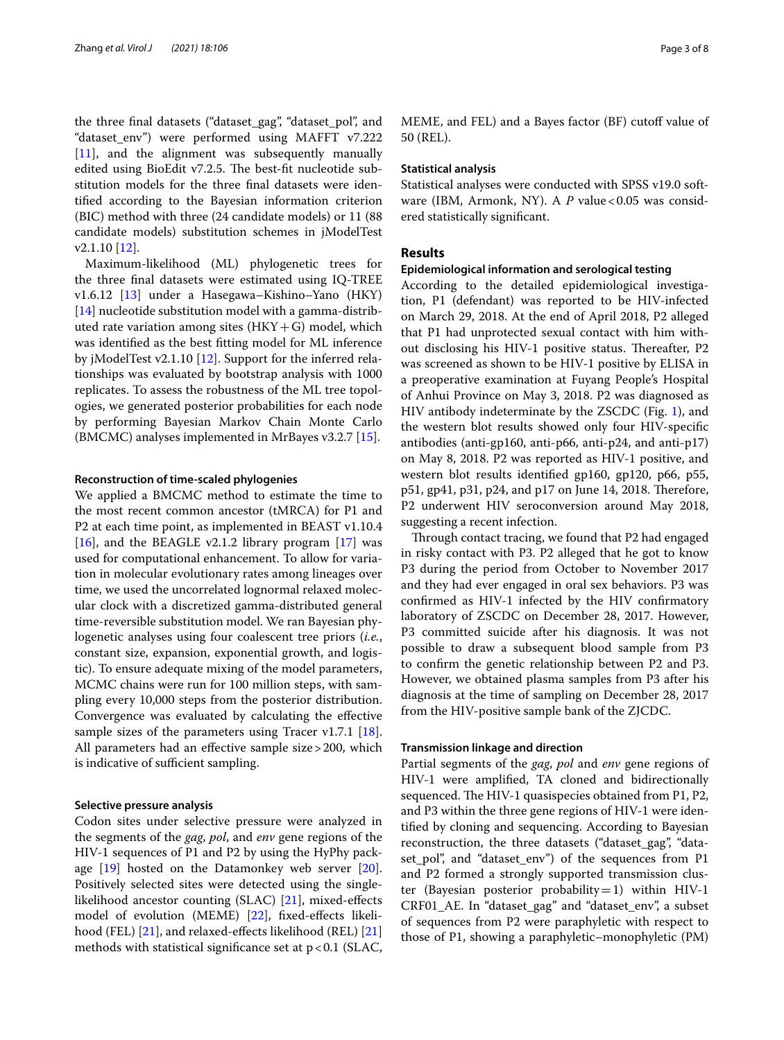the three fnal datasets ("dataset\_gag", "dataset\_pol", and "dataset\_env") were performed using MAFFT v7.222  $[11]$  $[11]$ , and the alignment was subsequently manually edited using BioEdit v7.2.5. The best-fit nucleotide substitution models for the three fnal datasets were identifed according to the Bayesian information criterion (BIC) method with three (24 candidate models) or 11 (88 candidate models) substitution schemes in jModelTest v2.1.10 [[12\]](#page-7-2).

Maximum-likelihood (ML) phylogenetic trees for the three fnal datasets were estimated using IQ-TREE v1.6.12 [\[13](#page-7-3)] under a Hasegawa–Kishino–Yano (HKY) [[14\]](#page-7-4) nucleotide substitution model with a gamma-distributed rate variation among sites  $(HKY+G)$  model, which was identifed as the best ftting model for ML inference by jModelTest v2.1.10 [\[12](#page-7-2)]. Support for the inferred relationships was evaluated by bootstrap analysis with 1000 replicates. To assess the robustness of the ML tree topologies, we generated posterior probabilities for each node by performing Bayesian Markov Chain Monte Carlo (BMCMC) analyses implemented in MrBayes v3.2.7 [[15\]](#page-7-5).

## **Reconstruction of time‑scaled phylogenies**

We applied a BMCMC method to estimate the time to the most recent common ancestor (tMRCA) for P1 and P2 at each time point, as implemented in BEAST v1.10.4 [[16\]](#page-7-6), and the BEAGLE v2.1.2 library program  $[17]$  was used for computational enhancement. To allow for variation in molecular evolutionary rates among lineages over time, we used the uncorrelated lognormal relaxed molecular clock with a discretized gamma-distributed general time-reversible substitution model. We ran Bayesian phylogenetic analyses using four coalescent tree priors (*i.e.*, constant size, expansion, exponential growth, and logistic). To ensure adequate mixing of the model parameters, MCMC chains were run for 100 million steps, with sampling every 10,000 steps from the posterior distribution. Convergence was evaluated by calculating the efective sample sizes of the parameters using Tracer v1.7.1 [\[18](#page-7-8)]. All parameters had an efective sample size>200, which is indicative of sufficient sampling.

## **Selective pressure analysis**

Codon sites under selective pressure were analyzed in the segments of the *gag*, *pol*, and *env* gene regions of the HIV-1 sequences of P1 and P2 by using the HyPhy package  $[19]$  $[19]$  $[19]$  hosted on the Datamonkey web server  $[20]$  $[20]$ . Positively selected sites were detected using the singlelikelihood ancestor counting (SLAC) [\[21](#page-7-11)], mixed-efects model of evolution (MEME) [[22\]](#page-7-12), fixed-effects likeli-hood (FEL) [\[21](#page-7-11)], and relaxed-effects likelihood (REL) [[21](#page-7-11)] methods with statistical significance set at  $p < 0.1$  (SLAC, MEME, and FEL) and a Bayes factor (BF) cutoff value of 50 (REL).

## **Statistical analysis**

Statistical analyses were conducted with SPSS v19.0 software (IBM, Armonk, NY). A P value <0.05 was considered statistically signifcant.

## **Results**

#### **Epidemiological information and serological testing**

According to the detailed epidemiological investigation, P1 (defendant) was reported to be HIV-infected on March 29, 2018. At the end of April 2018, P2 alleged that P1 had unprotected sexual contact with him without disclosing his HIV-1 positive status. Thereafter, P2 was screened as shown to be HIV-1 positive by ELISA in a preoperative examination at Fuyang People's Hospital of Anhui Province on May 3, 2018. P2 was diagnosed as HIV antibody indeterminate by the ZSCDC (Fig. [1](#page-3-0)), and the western blot results showed only four HIV-specifc antibodies (anti-gp160, anti-p66, anti-p24, and anti-p17) on May 8, 2018. P2 was reported as HIV-1 positive, and western blot results identifed gp160, gp120, p66, p55, p51, gp41, p31, p24, and p17 on June 14, 2018. Terefore, P2 underwent HIV seroconversion around May 2018, suggesting a recent infection.

Through contact tracing, we found that P2 had engaged in risky contact with P3. P2 alleged that he got to know P3 during the period from October to November 2017 and they had ever engaged in oral sex behaviors. P3 was confrmed as HIV-1 infected by the HIV confrmatory laboratory of ZSCDC on December 28, 2017. However, P3 committed suicide after his diagnosis. It was not possible to draw a subsequent blood sample from P3 to confrm the genetic relationship between P2 and P3. However, we obtained plasma samples from P3 after his diagnosis at the time of sampling on December 28, 2017 from the HIV-positive sample bank of the ZJCDC.

## **Transmission linkage and direction**

Partial segments of the *gag*, *pol* and *env* gene regions of HIV-1 were amplifed, TA cloned and bidirectionally sequenced. The HIV-1 quasispecies obtained from P1, P2, and P3 within the three gene regions of HIV-1 were identifed by cloning and sequencing. According to Bayesian reconstruction, the three datasets ("dataset\_gag", "dataset\_pol", and "dataset\_env") of the sequences from P1 and P2 formed a strongly supported transmission cluster (Bayesian posterior probability = 1) within HIV-1 CRF01\_AE. In "dataset\_gag" and "dataset\_env", a subset of sequences from P2 were paraphyletic with respect to those of P1, showing a paraphyletic–monophyletic (PM)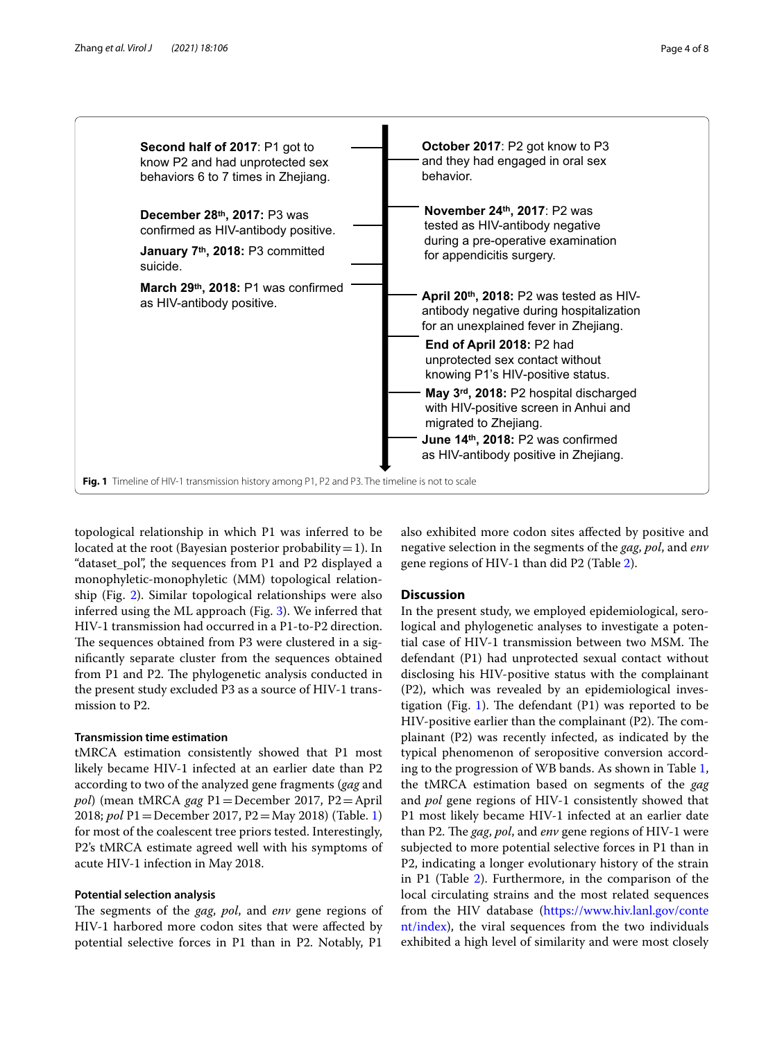

<span id="page-3-0"></span>topological relationship in which P1 was inferred to be located at the root (Bayesian posterior probability = 1). In "dataset\_pol", the sequences from P1 and P2 displayed a monophyletic-monophyletic (MM) topological relationship (Fig. [2\)](#page-4-0). Similar topological relationships were also inferred using the ML approach (Fig. [3\)](#page-4-1). We inferred that HIV-1 transmission had occurred in a P1-to-P2 direction. The sequences obtained from P3 were clustered in a signifcantly separate cluster from the sequences obtained from P1 and P2. The phylogenetic analysis conducted in the present study excluded P3 as a source of HIV-1 transmission to P2.

## **Transmission time estimation**

tMRCA estimation consistently showed that P1 most likely became HIV-1 infected at an earlier date than P2 according to two of the analyzed gene fragments (*gag* and *pol*) (mean tMRCA *gag* P1=December 2017, P2=April 2018; *pol* P1=December 2017, P2=May 2018) (Table. [1](#page-5-0)) for most of the coalescent tree priors tested. Interestingly, P2's tMRCA estimate agreed well with his symptoms of acute HIV-1 infection in May 2018.

## **Potential selection analysis**

The segments of the *gag*, *pol*, and *env* gene regions of HIV-1 harbored more codon sites that were afected by potential selective forces in P1 than in P2. Notably, P1 also exhibited more codon sites afected by positive and negative selection in the segments of the *gag*, *pol*, and *env* gene regions of HIV-1 than did P2 (Table [2](#page-5-1)).

## **Discussion**

In the present study, we employed epidemiological, serological and phylogenetic analyses to investigate a potential case of HIV-1 transmission between two MSM. The defendant (P1) had unprotected sexual contact without disclosing his HIV-positive status with the complainant (P2), which was revealed by an epidemiological inves-tigation (Fig. [1](#page-3-0)). The defendant  $(P1)$  was reported to be HIV-positive earlier than the complainant  $(P2)$ . The complainant (P2) was recently infected, as indicated by the typical phenomenon of seropositive conversion according to the progression of WB bands. As shown in Table [1](#page-5-0), the tMRCA estimation based on segments of the *gag* and *pol* gene regions of HIV-1 consistently showed that P1 most likely became HIV-1 infected at an earlier date than P2. The *gag, pol,* and *env* gene regions of HIV-1 were subjected to more potential selective forces in P1 than in P2, indicating a longer evolutionary history of the strain in P1 (Table [2](#page-5-1)). Furthermore, in the comparison of the local circulating strains and the most related sequences from the HIV database [\(https://www.hiv.lanl.gov/conte](https://www.hiv.lanl.gov/content/index) [nt/index](https://www.hiv.lanl.gov/content/index)), the viral sequences from the two individuals exhibited a high level of similarity and were most closely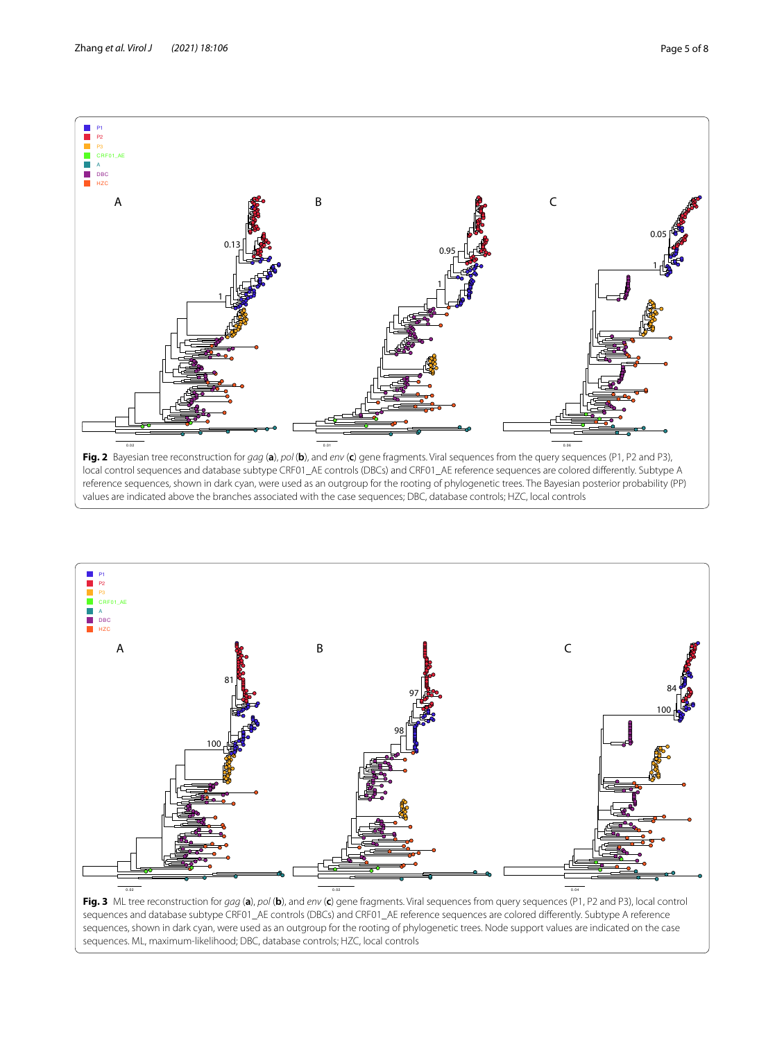

<span id="page-4-0"></span>

<span id="page-4-1"></span>**Fig. 3** ML tree reconstruction for *gag* (**a**), *pol* (**b**), and *env* (**c**) gene fragments. Viral sequences from query sequences (P1, P2 and P3), local control sequences and database subtype CRF01\_AE controls (DBCs) and CRF01\_AE reference sequences are colored diferently. Subtype A reference sequences, shown in dark cyan, were used as an outgroup for the rooting of phylogenetic trees. Node support values are indicated on the case sequences. ML, maximum-likelihood; DBC, database controls; HZC, local controls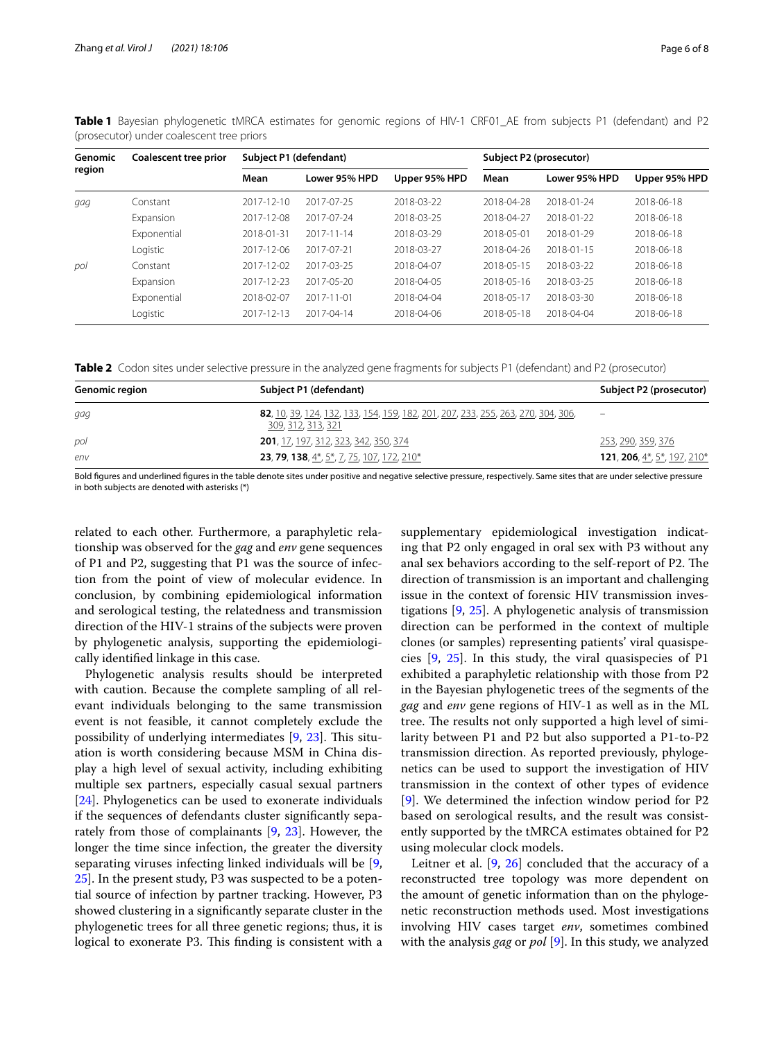| Genomic<br>region | Coalescent tree prior | Subject P1 (defendant) |               |               | Subject P2 (prosecutor) |               |               |
|-------------------|-----------------------|------------------------|---------------|---------------|-------------------------|---------------|---------------|
|                   |                       | Mean                   | Lower 95% HPD | Upper 95% HPD | Mean                    | Lower 95% HPD | Upper 95% HPD |
| gag               | Constant              | 2017-12-10             | 2017-07-25    | 2018-03-22    | 2018-04-28              | 2018-01-24    | 2018-06-18    |
|                   | Expansion             | 2017-12-08             | 2017-07-24    | 2018-03-25    | 2018-04-27              | 2018-01-22    | 2018-06-18    |
|                   | Exponential           | 2018-01-31             | 2017-11-14    | 2018-03-29    | 2018-05-01              | 2018-01-29    | 2018-06-18    |
|                   | Logistic              | 2017-12-06             | 2017-07-21    | 2018-03-27    | 2018-04-26              | 2018-01-15    | 2018-06-18    |
| pol               | Constant              | 2017-12-02             | 2017-03-25    | 2018-04-07    | 2018-05-15              | 2018-03-22    | 2018-06-18    |
|                   | Expansion             | 2017-12-23             | 2017-05-20    | 2018-04-05    | 2018-05-16              | 2018-03-25    | 2018-06-18    |
|                   | Exponential           | 2018-02-07             | 2017-11-01    | 2018-04-04    | 2018-05-17              | 2018-03-30    | 2018-06-18    |
|                   | Logistic              | 2017-12-13             | 2017-04-14    | 2018-04-06    | 2018-05-18              | 2018-04-04    | 2018-06-18    |

<span id="page-5-0"></span>**Table 1** Bayesian phylogenetic tMRCA estimates for genomic regions of HIV-1 CRF01\_AE from subjects P1 (defendant) and P2 (prosecutor) under coalescent tree priors

<span id="page-5-1"></span>**Table 2** Codon sites under selective pressure in the analyzed gene fragments for subjects P1 (defendant) and P2 (prosecutor)

| <b>Genomic region</b> | Subject P1 (defendant)                                                                                  | Subject P2 (prosecutor)            |
|-----------------------|---------------------------------------------------------------------------------------------------------|------------------------------------|
| gag                   | 82, 10, 39, 124, 132, 133, 154, 159, 182, 201, 207, 233, 255, 263, 270, 304, 306,<br>309, 312, 313, 321 |                                    |
| pol                   | 201, 17, 197, 312, 323, 342, 350, 374                                                                   | 253, 290, 359, 376                 |
| env                   | <b>23, 79, 138,</b> 4 <sup>*</sup> , 5 <sup>*</sup> , 7, 75, 107, 172, 210 <sup>*</sup>                 | <b>121, 206,</b> 4*, 5*, 197, 210* |

Bold fgures and underlined fgures in the table denote sites under positive and negative selective pressure, respectively. Same sites that are under selective pressure in both subjects are denoted with asterisks (\*)

related to each other. Furthermore, a paraphyletic relationship was observed for the *gag* and *env* gene sequences of P1 and P2, suggesting that P1 was the source of infection from the point of view of molecular evidence. In conclusion, by combining epidemiological information and serological testing, the relatedness and transmission direction of the HIV-1 strains of the subjects were proven by phylogenetic analysis, supporting the epidemiologically identifed linkage in this case.

Phylogenetic analysis results should be interpreted with caution. Because the complete sampling of all relevant individuals belonging to the same transmission event is not feasible, it cannot completely exclude the possibility of underlying intermediates  $[9, 23]$  $[9, 23]$  $[9, 23]$  $[9, 23]$ . This situation is worth considering because MSM in China display a high level of sexual activity, including exhibiting multiple sex partners, especially casual sexual partners [[24\]](#page-7-14). Phylogenetics can be used to exonerate individuals if the sequences of defendants cluster signifcantly separately from those of complainants [[9,](#page-6-7) [23](#page-7-13)]. However, the longer the time since infection, the greater the diversity separating viruses infecting linked individuals will be [\[9](#page-6-7), [25\]](#page-7-15). In the present study, P3 was suspected to be a potential source of infection by partner tracking. However, P3 showed clustering in a signifcantly separate cluster in the phylogenetic trees for all three genetic regions; thus, it is logical to exonerate P3. This finding is consistent with a

supplementary epidemiological investigation indicating that P2 only engaged in oral sex with P3 without any anal sex behaviors according to the self-report of P2. The direction of transmission is an important and challenging issue in the context of forensic HIV transmission investigations [\[9](#page-6-7), [25](#page-7-15)]. A phylogenetic analysis of transmission direction can be performed in the context of multiple clones (or samples) representing patients' viral quasispecies [[9,](#page-6-7) [25](#page-7-15)]. In this study, the viral quasispecies of P1 exhibited a paraphyletic relationship with those from P2 in the Bayesian phylogenetic trees of the segments of the *gag* and *env* gene regions of HIV-1 as well as in the ML tree. The results not only supported a high level of similarity between P1 and P2 but also supported a P1-to-P2 transmission direction. As reported previously, phylogenetics can be used to support the investigation of HIV transmission in the context of other types of evidence [[9\]](#page-6-7). We determined the infection window period for P2 based on serological results, and the result was consistently supported by the tMRCA estimates obtained for P2 using molecular clock models.

Leitner et al. [\[9](#page-6-7), [26\]](#page-7-16) concluded that the accuracy of a reconstructed tree topology was more dependent on the amount of genetic information than on the phylogenetic reconstruction methods used. Most investigations involving HIV cases target *env*, sometimes combined with the analysis *gag* or *pol* [[9\]](#page-6-7). In this study, we analyzed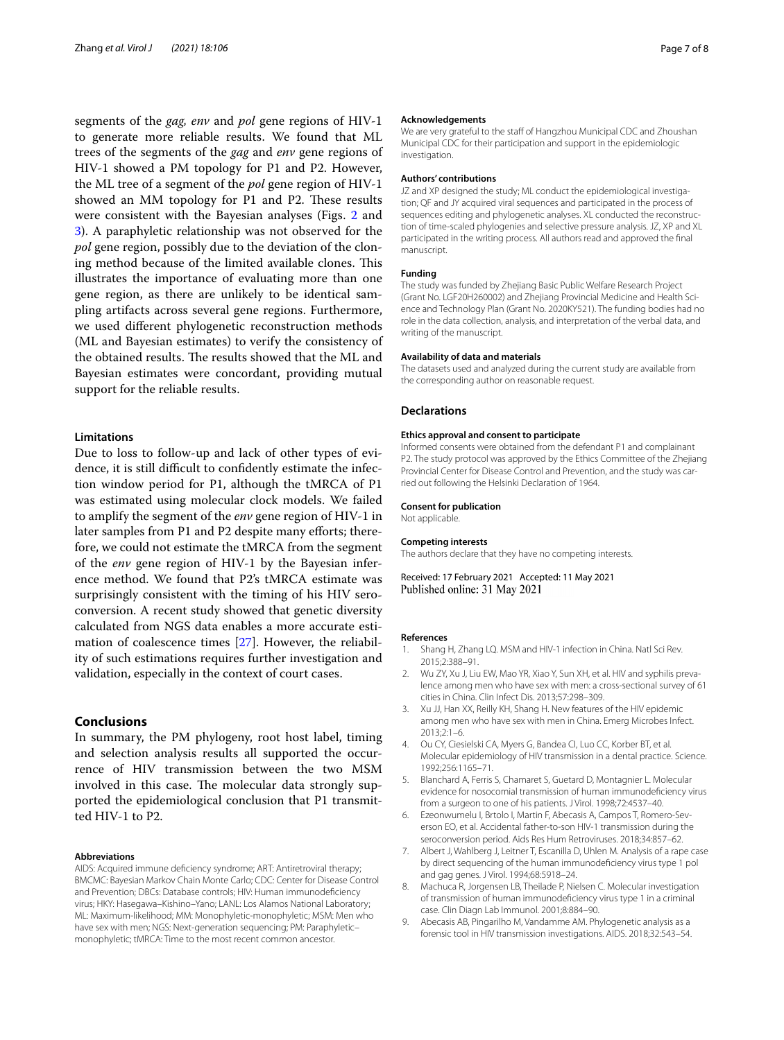segments of the *gag, env* and *pol* gene regions of HIV-1 to generate more reliable results. We found that ML trees of the segments of the *gag* and *env* gene regions of HIV-1 showed a PM topology for P1 and P2. However, the ML tree of a segment of the *pol* gene region of HIV-1 showed an MM topology for P1 and P2. These results were consistent with the Bayesian analyses (Figs. [2](#page-4-0) and [3\)](#page-4-1). A paraphyletic relationship was not observed for the *pol* gene region, possibly due to the deviation of the cloning method because of the limited available clones. This illustrates the importance of evaluating more than one gene region, as there are unlikely to be identical sampling artifacts across several gene regions. Furthermore, we used diferent phylogenetic reconstruction methods (ML and Bayesian estimates) to verify the consistency of the obtained results. The results showed that the ML and Bayesian estimates were concordant, providing mutual support for the reliable results.

## **Limitations**

Due to loss to follow-up and lack of other types of evidence, it is still difficult to confidently estimate the infection window period for P1, although the tMRCA of P1 was estimated using molecular clock models. We failed to amplify the segment of the *env* gene region of HIV-1 in later samples from P1 and P2 despite many efforts; therefore, we could not estimate the tMRCA from the segment of the *env* gene region of HIV-1 by the Bayesian inference method. We found that P2's tMRCA estimate was surprisingly consistent with the timing of his HIV seroconversion. A recent study showed that genetic diversity calculated from NGS data enables a more accurate estimation of coalescence times [[27](#page-7-17)]. However, the reliability of such estimations requires further investigation and validation, especially in the context of court cases.

## **Conclusions**

In summary, the PM phylogeny, root host label, timing and selection analysis results all supported the occurrence of HIV transmission between the two MSM involved in this case. The molecular data strongly supported the epidemiological conclusion that P1 transmitted HIV-1 to P2.

## **Abbreviations**

AIDS: Acquired immune defciency syndrome; ART: Antiretroviral therapy; BMCMC: Bayesian Markov Chain Monte Carlo; CDC: Center for Disease Control and Prevention; DBCs: Database controls; HIV: Human immunodefciency virus; HKY: Hasegawa–Kishino–Yano; LANL: Los Alamos National Laboratory; ML: Maximum-likelihood; MM: Monophyletic-monophyletic; MSM: Men who have sex with men; NGS: Next-generation sequencing; PM: Paraphyletic– monophyletic; tMRCA: Time to the most recent common ancestor.

#### **Acknowledgements**

We are very grateful to the staff of Hangzhou Municipal CDC and Zhoushan Municipal CDC for their participation and support in the epidemiologic investigation.

#### **Authors' contributions**

JZ and XP designed the study; ML conduct the epidemiological investigation; QF and JY acquired viral sequences and participated in the process of sequences editing and phylogenetic analyses. XL conducted the reconstruction of time-scaled phylogenies and selective pressure analysis. JZ, XP and XL participated in the writing process. All authors read and approved the fnal manuscript.

#### **Funding**

The study was funded by Zhejiang Basic Public Welfare Research Project (Grant No. LGF20H260002) and Zhejiang Provincial Medicine and Health Science and Technology Plan (Grant No. 2020KY521). The funding bodies had no role in the data collection, analysis, and interpretation of the verbal data, and writing of the manuscript.

## **Availability of data and materials**

The datasets used and analyzed during the current study are available from the corresponding author on reasonable request.

#### **Declarations**

#### **Ethics approval and consent to participate**

Informed consents were obtained from the defendant P1 and complainant P2. The study protocol was approved by the Ethics Committee of the Zhejiang Provincial Center for Disease Control and Prevention, and the study was carried out following the Helsinki Declaration of 1964.

#### **Consent for publication**

Not applicable.

#### **Competing interests**

The authors declare that they have no competing interests.

Received: 17 February 2021 Accepted: 11 May 2021 Published online: 31 May 2021

#### **References**

- <span id="page-6-0"></span>Shang H, Zhang LQ. MSM and HIV-1 infection in China. Natl Sci Rev. 2015;2:388–91.
- 2. Wu ZY, Xu J, Liu EW, Mao YR, Xiao Y, Sun XH, et al. HIV and syphilis prevalence among men who have sex with men: a cross-sectional survey of 61 cities in China. Clin Infect Dis. 2013;57:298–309.
- <span id="page-6-1"></span>3. Xu JJ, Han XX, Reilly KH, Shang H. New features of the HIV epidemic among men who have sex with men in China. Emerg Microbes Infect. 2013;2:1–6.
- <span id="page-6-2"></span>4. Ou CY, Ciesielski CA, Myers G, Bandea CI, Luo CC, Korber BT, et al. Molecular epidemiology of HIV transmission in a dental practice. Science. 1992;256:1165–71.
- <span id="page-6-3"></span>5. Blanchard A, Ferris S, Chamaret S, Guetard D, Montagnier L. Molecular evidence for nosocomial transmission of human immunodefciency virus from a surgeon to one of his patients. J Virol. 1998;72:4537–40.
- <span id="page-6-4"></span>6. Ezeonwumelu I, Brtolo I, Martin F, Abecasis A, Campos T, Romero-Severson EO, et al. Accidental father-to-son HIV-1 transmission during the seroconversion period. Aids Res Hum Retroviruses. 2018;34:857–62.
- <span id="page-6-5"></span>7. Albert J, Wahlberg J, Leitner T, Escanilla D, Uhlen M. Analysis of a rape case by direct sequencing of the human immunodefciency virus type 1 pol and gag genes. J Virol. 1994;68:5918–24.
- <span id="page-6-6"></span>8. Machuca R, Jorgensen LB, Theilade P, Nielsen C. Molecular investigation of transmission of human immunodefciency virus type 1 in a criminal case. Clin Diagn Lab Immunol. 2001;8:884–90.
- <span id="page-6-7"></span>9. Abecasis AB, Pingarilho M, Vandamme AM. Phylogenetic analysis as a forensic tool in HIV transmission investigations. AIDS. 2018;32:543–54.